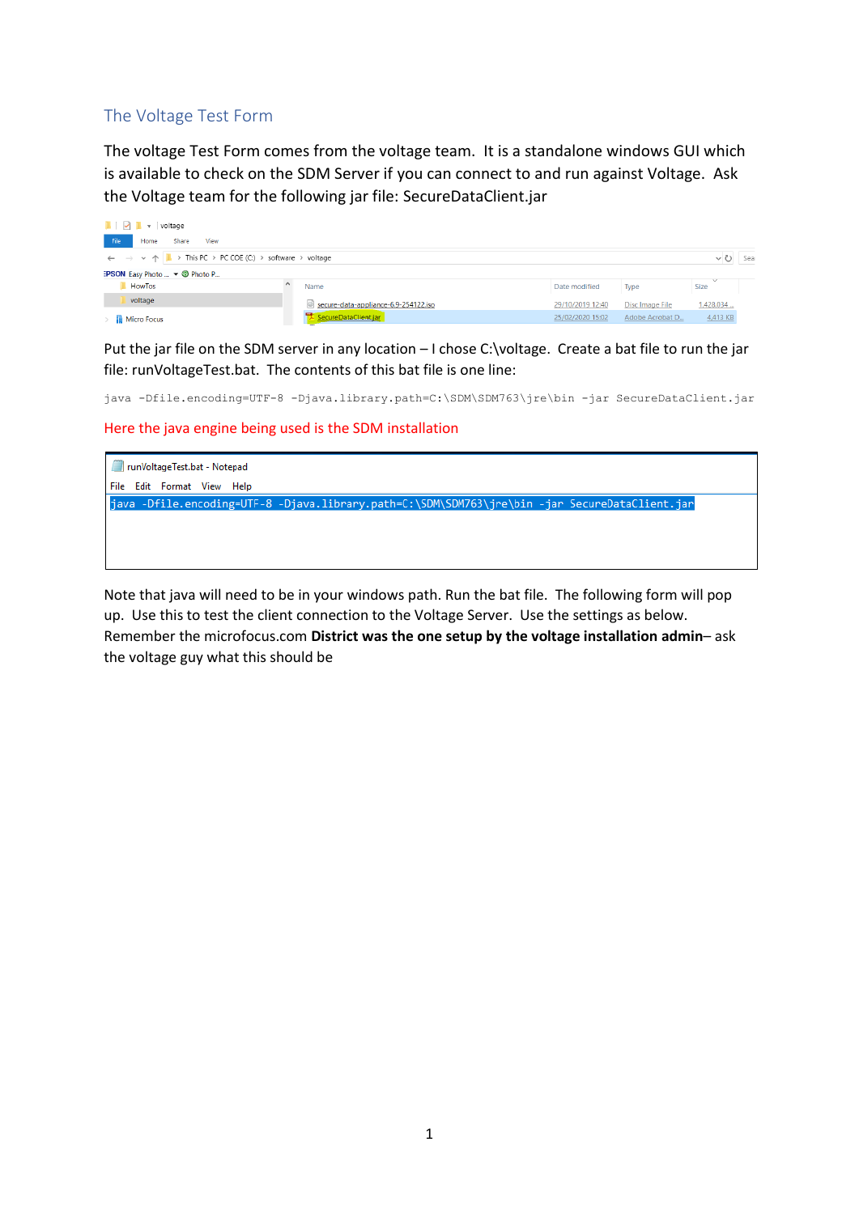## The Voltage Test Form

The voltage Test Form comes from the voltage team. It is a standalone windows GUI which is available to check on the SDM Server if you can connect to and run against Voltage. Ask the Voltage team for the following jar file: SecureDataClient.jar

| $\blacksquare$ $\triangleright$ $\blacksquare$ = voltage                                              |                                      |                  |                 |              |      |
|-------------------------------------------------------------------------------------------------------|--------------------------------------|------------------|-----------------|--------------|------|
| File<br>Share<br>View<br>Home                                                                         |                                      |                  |                 |              |      |
| $\leftarrow$ $\rightarrow$ $\vee$ $\uparrow$ $\parallel$ > This PC > PC COE (C:) > software > voltage |                                      |                  |                 | $\checkmark$ | Sear |
| <b>EPSON</b> Easy Photo $\blacktriangledown$ <b>O</b> Photo P                                         |                                      |                  |                 |              |      |
| HowTos                                                                                                | Name                                 | Date modified    | <b>Type</b>     | Size         |      |
| voltage                                                                                               | secure-data-appliance-6.9-254122.iso | 29/10/2019 12:40 | Disc Image File | 1,428,034    |      |
| <b>Micro Focus</b>                                                                                    | SecureDataClient.jar                 | 25/02/2020 15:02 | Adobe Acrobat D | 4,413 KB     |      |

Put the jar file on the SDM server in any location - I chose C:\voltage. Create a bat file to run the jar file: runVoltageTest.bat. The contents of this bat file is one line:

java -Dfile.encoding=UTF-8 -Djava.library.path=C:\SDM\SDM763\jre\bin -jar SecureDataClient.jar

Here the java engine being used is the SDM installation



Note that java will need to be in your windows path. Run the bat file. The following form will pop up. Use this to test the client connection to the Voltage Server. Use the settings as below. Remember the microfocus.com **District was the one setup by the voltage installation admin**– ask the voltage guy what this should be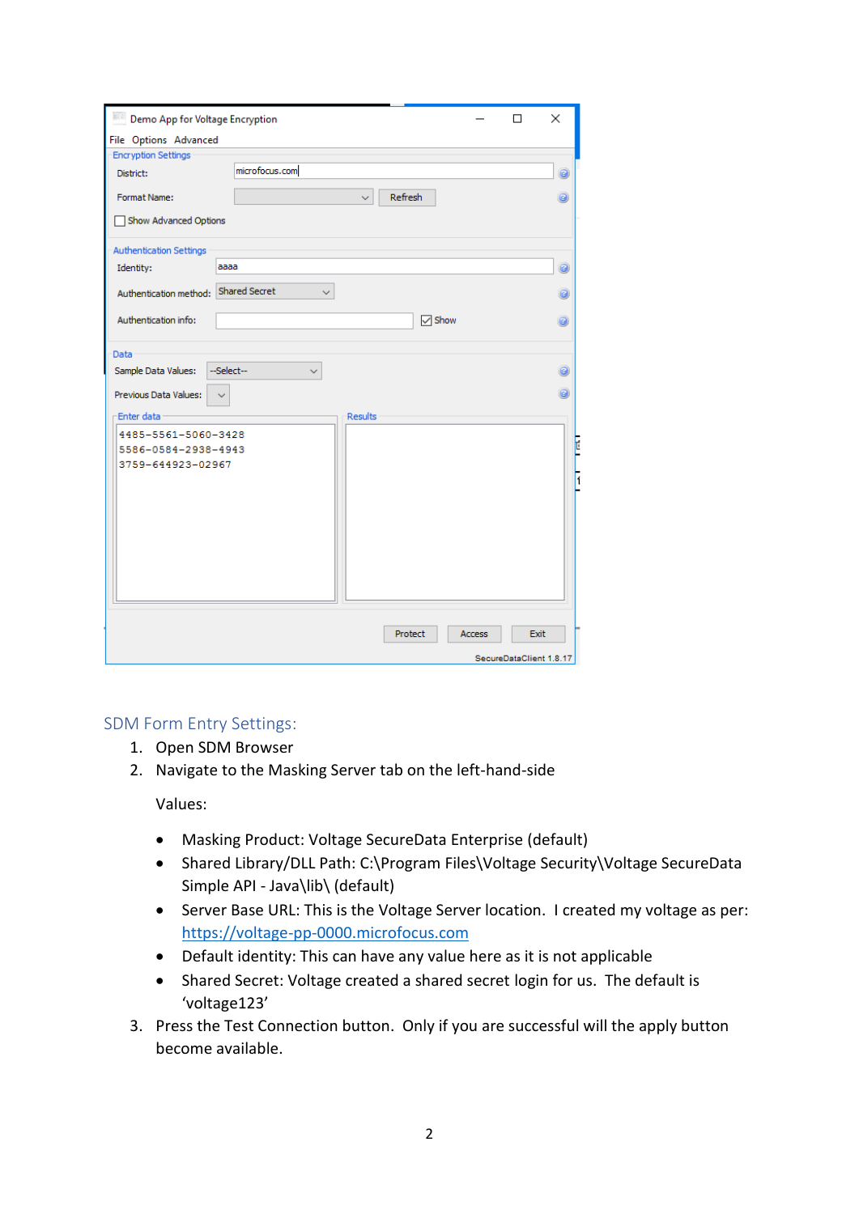| Demo App for Voltage Encryption       |                                      |                      |               | п                       | × |
|---------------------------------------|--------------------------------------|----------------------|---------------|-------------------------|---|
| File Options Advanced                 |                                      |                      |               |                         |   |
| <b>Encryption Settings</b>            |                                      |                      |               |                         |   |
| District:                             | microfocus.com                       |                      |               |                         | ø |
| Format Name:                          | Refresh<br>$\checkmark$              |                      |               |                         | ø |
| Show Advanced Options                 |                                      |                      |               |                         |   |
| <b>Authentication Settings</b>        |                                      |                      |               |                         |   |
| Identity:                             | aaaa                                 |                      |               |                         | 0 |
| Authentication method:                | <b>Shared Secret</b><br>$\checkmark$ |                      |               |                         | ø |
| Authentication info:                  |                                      | $\triangledown$ Show |               |                         | ø |
| Data                                  |                                      |                      |               |                         |   |
| Sample Data Values:                   | --Select--                           |                      |               |                         | ø |
| Previous Data Values:<br>$\checkmark$ |                                      |                      |               |                         | ø |
| Enter data                            | <b>Results</b>                       |                      |               |                         |   |
| 4485-5561-5060-3428                   |                                      |                      |               |                         |   |
| 5586-0584-2938-4943                   |                                      |                      |               |                         | Ć |
| 3759-644923-02967                     |                                      |                      |               |                         |   |
|                                       |                                      |                      |               |                         |   |
|                                       |                                      |                      |               |                         |   |
|                                       |                                      |                      |               |                         |   |
|                                       |                                      |                      |               |                         |   |
|                                       |                                      |                      |               |                         |   |
|                                       |                                      |                      |               |                         |   |
|                                       |                                      |                      |               |                         |   |
|                                       |                                      |                      |               |                         |   |
|                                       | Protect                              |                      | <b>Access</b> | Exit                    |   |
|                                       |                                      |                      |               | SecureDataClient 1.8.17 |   |

## SDM Form Entry Settings:

- 1. Open SDM Browser
- 2. Navigate to the Masking Server tab on the left-hand-side

Values:

- Masking Product: Voltage SecureData Enterprise (default)
- Shared Library/DLL Path: C:\Program Files\Voltage Security\Voltage SecureData Simple API - Java\lib\ (default)
- Server Base URL: This is the Voltage Server location. I created my voltage as per: [https://voltage-pp-0000.microfocus.com](https://voltage-pp-0000.microfocus.com/)
- Default identity: This can have any value here as it is not applicable
- Shared Secret: Voltage created a shared secret login for us. The default is 'voltage123'
- 3. Press the Test Connection button. Only if you are successful will the apply button become available.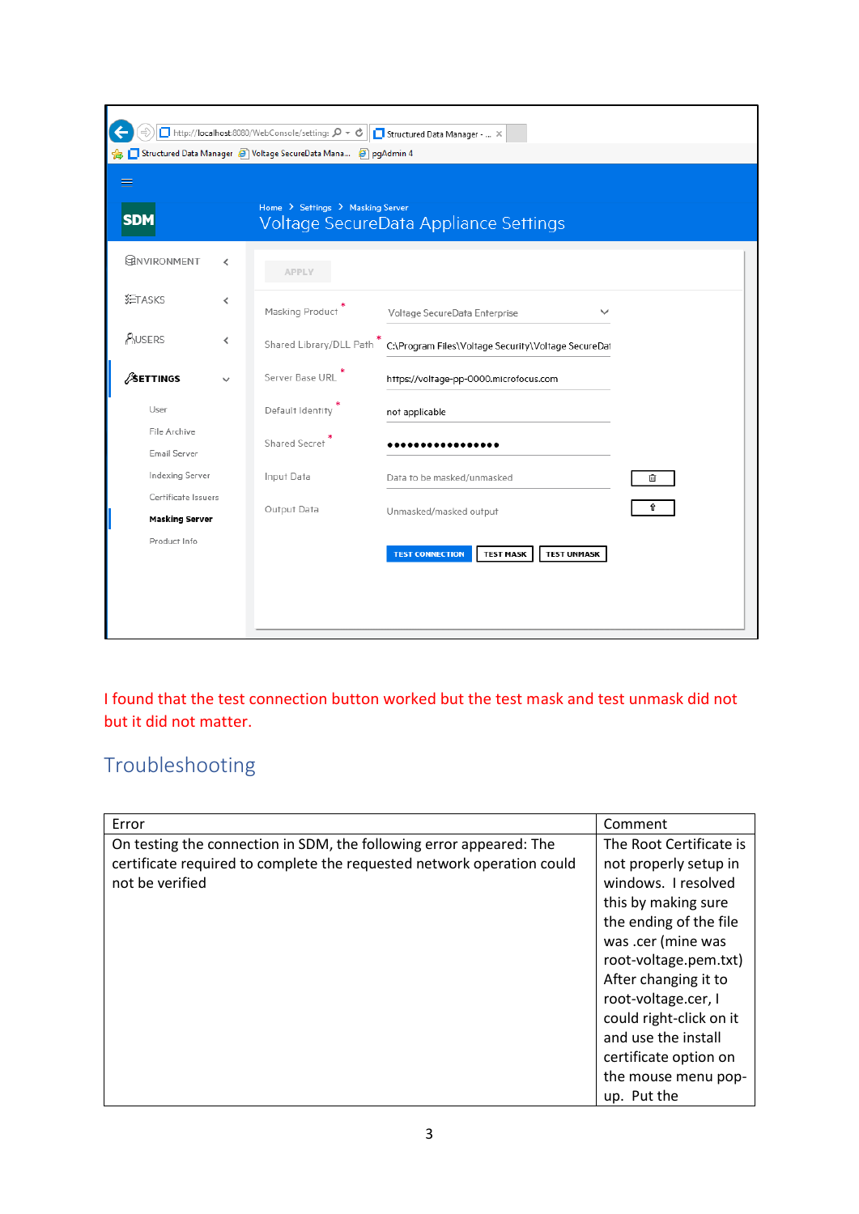|                                              | ■ http://localhost:8080/WebConsole/settings Q + C<br>Structured Data Manager (3) Voltage SecureData Mana (3) pgAdmin 4 | Structured Data Manager -  X                                     |   |
|----------------------------------------------|------------------------------------------------------------------------------------------------------------------------|------------------------------------------------------------------|---|
| ≡                                            |                                                                                                                        |                                                                  |   |
| <b>SDM</b>                                   | Home > Settings > Masking Server                                                                                       | Voltage SecureData Appliance Settings                            |   |
| <b>ERNVIRONMENT</b>                          | <b>APPLY</b>                                                                                                           |                                                                  |   |
| <b>红TASKS</b><br>≺                           | Masking Product                                                                                                        | Voltage SecureData Enterprise<br>$\checkmark$                    |   |
| <b>AUSERS</b><br>∢                           | Shared Library/DLL Path                                                                                                | C:\Program Files\Voltage Security\Voltage SecureDat              |   |
| <b>SETTINGS</b>                              | Server Base URL                                                                                                        | https://voltage-pp-0000.microfocus.com                           |   |
| User                                         | Default Identity                                                                                                       | not applicable                                                   |   |
| File Archive<br>Email Server                 | Shared Secret                                                                                                          |                                                                  |   |
| Indexing Server                              | Input Data                                                                                                             | Data to be masked/unmasked                                       | 面 |
| Certificate Issuers<br><b>Masking Server</b> | Output Data                                                                                                            | Unmasked/masked output                                           | Û |
| Product Info                                 |                                                                                                                        | <b>TEST CONNECTION</b><br><b>TEST UNMASK</b><br><b>TEST MASK</b> |   |
|                                              |                                                                                                                        |                                                                  |   |
|                                              |                                                                                                                        |                                                                  |   |

I found that the test connection button worked but the test mask and test unmask did not but it did not matter.

## Troubleshooting

| Error                                                                  | Comment                 |
|------------------------------------------------------------------------|-------------------------|
| On testing the connection in SDM, the following error appeared: The    | The Root Certificate is |
| certificate required to complete the requested network operation could | not properly setup in   |
| not be verified                                                        | windows. I resolved     |
|                                                                        | this by making sure     |
|                                                                        | the ending of the file  |
|                                                                        | was .cer (mine was      |
|                                                                        | root-voltage.pem.txt)   |
|                                                                        | After changing it to    |
|                                                                        | root-voltage.cer, I     |
|                                                                        | could right-click on it |
|                                                                        | and use the install     |
|                                                                        | certificate option on   |
|                                                                        | the mouse menu pop-     |
|                                                                        | up. Put the             |